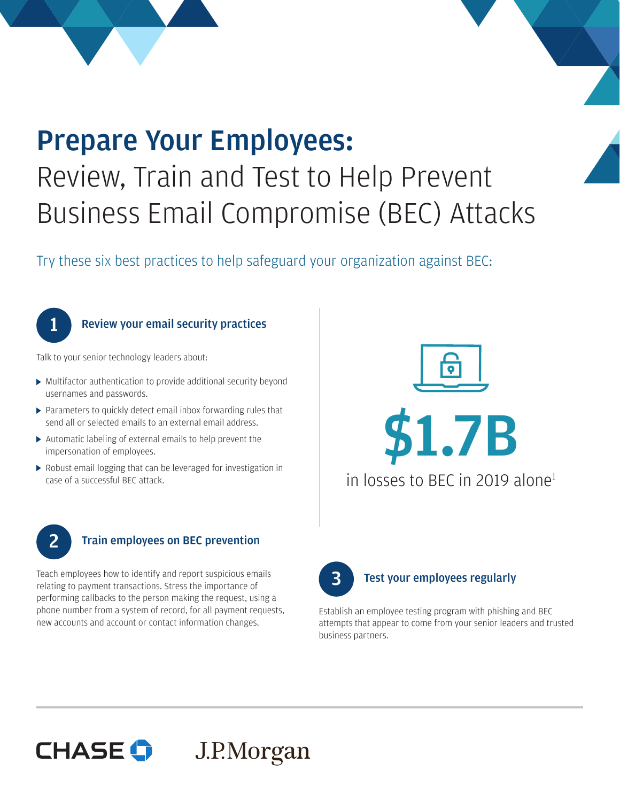# Prepare Your Employees: Review, Train and Test to Help Prevent Business Email Compromise (BEC) Attacks

Try these six best practices to help safeguard your organization against BEC:



## **Review your email security practices**

Talk to your senior technology leaders about:

- Multifactor authentication to provide additional security beyond usernames and passwords.
- Parameters to quickly detect email inbox forwarding rules that send all or selected emails to an external email address.
- Automatic labeling of external emails to help prevent the impersonation of employees.
- Robust email logging that can be leveraged for investigation in case of a successful BEC attack.





## **2** Train employees on BEC prevention

Teach employees how to identify and report suspicious emails relating to payment transactions. Stress the importance of performing callbacks to the person making the request, using a phone number from a system of record, for all payment requests, new accounts and account or contact information changes.



Establish an employee testing program with phishing and BEC attempts that appear to come from your senior leaders and trusted business partners.

## **CHASE G** J.P.Morgan